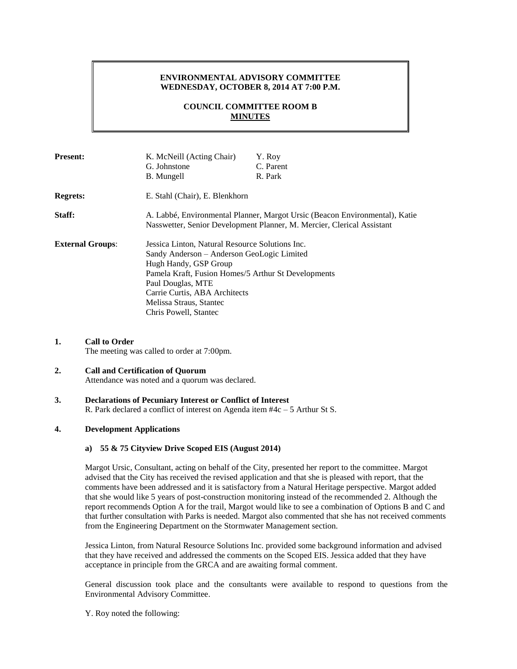### **ENVIRONMENTAL ADVISORY COMMITTEE WEDNESDAY, OCTOBER 8, 2014 AT 7:00 P.M.**

# **COUNCIL COMMITTEE ROOM B MINUTES**

| <b>Present:</b>         | K. McNeill (Acting Chair)                                                                                                                             | Y. Roy    |
|-------------------------|-------------------------------------------------------------------------------------------------------------------------------------------------------|-----------|
|                         | G. Johnstone                                                                                                                                          | C. Parent |
|                         | B. Mungell                                                                                                                                            | R. Park   |
| <b>Regrets:</b>         | E. Stahl (Chair), E. Blenkhorn                                                                                                                        |           |
| Staff:                  | A. Labbé, Environmental Planner, Margot Ursic (Beacon Environmental), Katie<br>Nasswetter, Senior Development Planner, M. Mercier, Clerical Assistant |           |
| <b>External Groups:</b> | Jessica Linton, Natural Resource Solutions Inc.                                                                                                       |           |
|                         | Sandy Anderson – Anderson GeoLogic Limited                                                                                                            |           |
|                         | Hugh Handy, GSP Group                                                                                                                                 |           |
|                         | Pamela Kraft, Fusion Homes/5 Arthur St Developments                                                                                                   |           |
|                         | Paul Douglas, MTE                                                                                                                                     |           |
|                         | Carrie Curtis, ABA Architects                                                                                                                         |           |
|                         | Melissa Straus, Stantec                                                                                                                               |           |
|                         | Chris Powell, Stantec                                                                                                                                 |           |

**1. Call to Order** The meeting was called to order at 7:00pm.

### **2. Call and Certification of Quorum**

Attendance was noted and a quorum was declared.

### **3. Declarations of Pecuniary Interest or Conflict of Interest**

R. Park declared a conflict of interest on Agenda item #4c – 5 Arthur St S.

### **4. Development Applications**

#### **a) 55 & 75 Cityview Drive Scoped EIS (August 2014)**

Margot Ursic, Consultant, acting on behalf of the City, presented her report to the committee. Margot advised that the City has received the revised application and that she is pleased with report, that the comments have been addressed and it is satisfactory from a Natural Heritage perspective. Margot added that she would like 5 years of post-construction monitoring instead of the recommended 2. Although the report recommends Option A for the trail, Margot would like to see a combination of Options B and C and that further consultation with Parks is needed. Margot also commented that she has not received comments from the Engineering Department on the Stormwater Management section.

Jessica Linton, from Natural Resource Solutions Inc. provided some background information and advised that they have received and addressed the comments on the Scoped EIS. Jessica added that they have acceptance in principle from the GRCA and are awaiting formal comment.

General discussion took place and the consultants were available to respond to questions from the Environmental Advisory Committee.

Y. Roy noted the following: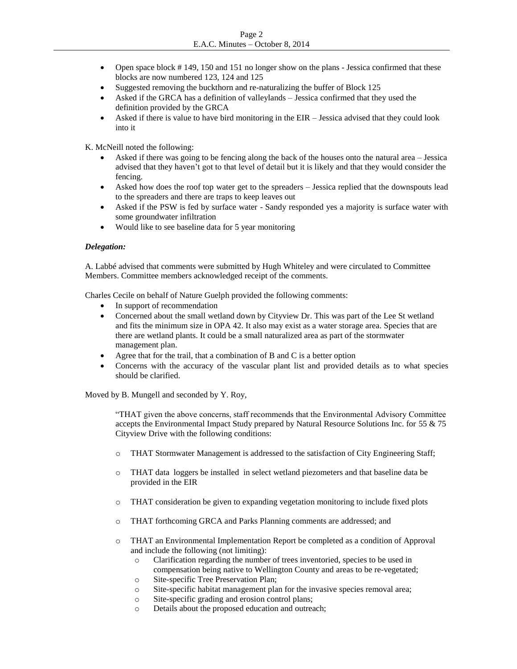- Open space block # 149, 150 and 151 no longer show on the plans Jessica confirmed that these blocks are now numbered 123, 124 and 125
- Suggested removing the buckthorn and re-naturalizing the buffer of Block 125
- Asked if the GRCA has a definition of valleylands Jessica confirmed that they used the definition provided by the GRCA
- Asked if there is value to have bird monitoring in the EIR Jessica advised that they could look into it

K. McNeill noted the following:

- Asked if there was going to be fencing along the back of the houses onto the natural area Jessica advised that they haven't got to that level of detail but it is likely and that they would consider the fencing.
- Asked how does the roof top water get to the spreaders Jessica replied that the downspouts lead to the spreaders and there are traps to keep leaves out
- Asked if the PSW is fed by surface water Sandy responded yes a majority is surface water with some groundwater infiltration
- Would like to see baseline data for 5 year monitoring

### *Delegation:*

A. Labbé advised that comments were submitted by Hugh Whiteley and were circulated to Committee Members. Committee members acknowledged receipt of the comments.

Charles Cecile on behalf of Nature Guelph provided the following comments:

- In support of recommendation
- Concerned about the small wetland down by Cityview Dr. This was part of the Lee St wetland and fits the minimum size in OPA 42. It also may exist as a water storage area. Species that are there are wetland plants. It could be a small naturalized area as part of the stormwater management plan.
- Agree that for the trail, that a combination of B and C is a better option
- Concerns with the accuracy of the vascular plant list and provided details as to what species should be clarified.

Moved by B. Mungell and seconded by Y. Roy,

"THAT given the above concerns, staff recommends that the Environmental Advisory Committee accepts the Environmental Impact Study prepared by Natural Resource Solutions Inc. for 55 & 75 Cityview Drive with the following conditions:

- o THAT Stormwater Management is addressed to the satisfaction of City Engineering Staff;
- o THAT data loggers be installed in select wetland piezometers and that baseline data be provided in the EIR
- o THAT consideration be given to expanding vegetation monitoring to include fixed plots
- o THAT forthcoming GRCA and Parks Planning comments are addressed; and
- o THAT an Environmental Implementation Report be completed as a condition of Approval and include the following (not limiting):
	- o Clarification regarding the number of trees inventoried, species to be used in compensation being native to Wellington County and areas to be re-vegetated;
	- o Site-specific Tree Preservation Plan;
	- o Site-specific habitat management plan for the invasive species removal area;
	- o Site-specific grading and erosion control plans;
	- o Details about the proposed education and outreach;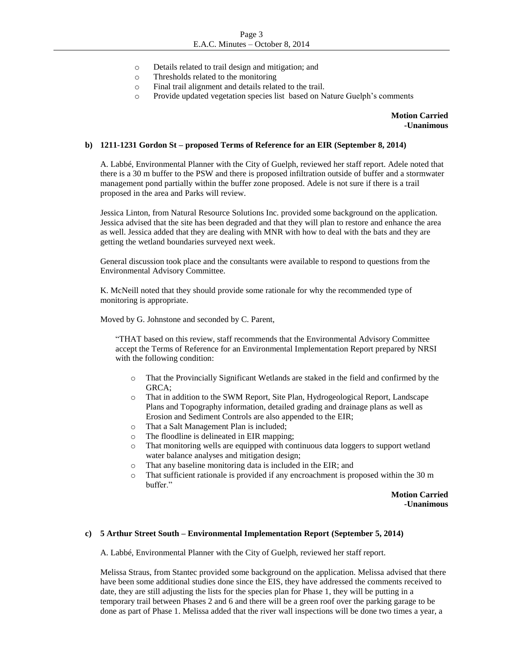- o Details related to trail design and mitigation; and
- o Thresholds related to the monitoring
- o Final trail alignment and details related to the trail.
- o Provide updated vegetation species list based on Nature Guelph's comments

**Motion Carried -Unanimous**

#### **b) 1211-1231 Gordon St – proposed Terms of Reference for an EIR (September 8, 2014)**

A. Labbé, Environmental Planner with the City of Guelph, reviewed her staff report. Adele noted that there is a 30 m buffer to the PSW and there is proposed infiltration outside of buffer and a stormwater management pond partially within the buffer zone proposed. Adele is not sure if there is a trail proposed in the area and Parks will review.

Jessica Linton, from Natural Resource Solutions Inc. provided some background on the application. Jessica advised that the site has been degraded and that they will plan to restore and enhance the area as well. Jessica added that they are dealing with MNR with how to deal with the bats and they are getting the wetland boundaries surveyed next week.

General discussion took place and the consultants were available to respond to questions from the Environmental Advisory Committee.

K. McNeill noted that they should provide some rationale for why the recommended type of monitoring is appropriate.

Moved by G. Johnstone and seconded by C. Parent,

"THAT based on this review, staff recommends that the Environmental Advisory Committee accept the Terms of Reference for an Environmental Implementation Report prepared by NRSI with the following condition:

- o That the Provincially Significant Wetlands are staked in the field and confirmed by the GRCA;
- o That in addition to the SWM Report, Site Plan, Hydrogeological Report, Landscape Plans and Topography information, detailed grading and drainage plans as well as Erosion and Sediment Controls are also appended to the EIR;
- o That a Salt Management Plan is included;
- o The floodline is delineated in EIR mapping;
- o That monitoring wells are equipped with continuous data loggers to support wetland water balance analyses and mitigation design;
- o That any baseline monitoring data is included in the EIR; and
- o That sufficient rationale is provided if any encroachment is proposed within the 30 m buffer."

**Motion Carried -Unanimous**

## **c) 5 Arthur Street South – Environmental Implementation Report (September 5, 2014)**

A. Labbé, Environmental Planner with the City of Guelph, reviewed her staff report.

Melissa Straus, from Stantec provided some background on the application. Melissa advised that there have been some additional studies done since the EIS, they have addressed the comments received to date, they are still adjusting the lists for the species plan for Phase 1, they will be putting in a temporary trail between Phases 2 and 6 and there will be a green roof over the parking garage to be done as part of Phase 1. Melissa added that the river wall inspections will be done two times a year, a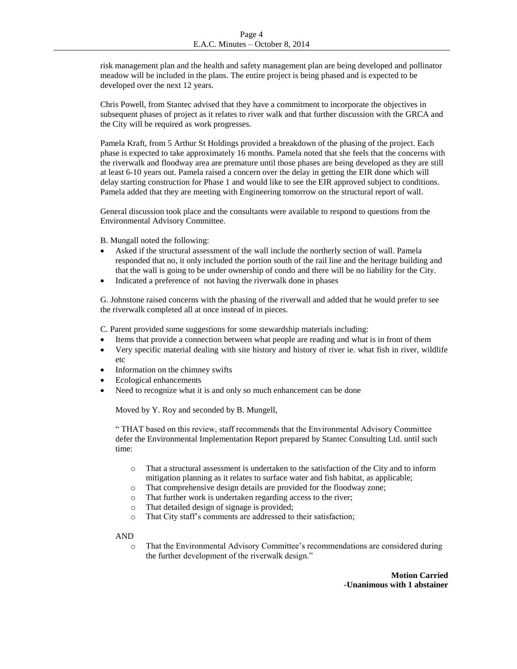risk management plan and the health and safety management plan are being developed and pollinator meadow will be included in the plans. The entire project is being phased and is expected to be developed over the next 12 years.

Chris Powell, from Stantec advised that they have a commitment to incorporate the objectives in subsequent phases of project as it relates to river walk and that further discussion with the GRCA and the City will be required as work progresses.

Pamela Kraft, from 5 Arthur St Holdings provided a breakdown of the phasing of the project. Each phase is expected to take approximately 16 months. Pamela noted that she feels that the concerns with the riverwalk and floodway area are premature until those phases are being developed as they are still at least 6-10 years out. Pamela raised a concern over the delay in getting the EIR done which will delay starting construction for Phase 1 and would like to see the EIR approved subject to conditions. Pamela added that they are meeting with Engineering tomorrow on the structural report of wall.

General discussion took place and the consultants were available to respond to questions from the Environmental Advisory Committee.

B. Mungall noted the following:

- Asked if the structural assessment of the wall include the northerly section of wall. Pamela responded that no, it only included the portion south of the rail line and the heritage building and that the wall is going to be under ownership of condo and there will be no liability for the City.
- Indicated a preference of not having the riverwalk done in phases

G. Johnstone raised concerns with the phasing of the riverwall and added that he would prefer to see the riverwalk completed all at once instead of in pieces.

C. Parent provided some suggestions for some stewardship materials including:

- Items that provide a connection between what people are reading and what is in front of them
- Very specific material dealing with site history and history of river ie. what fish in river, wildlife etc
- Information on the chimney swifts
- Ecological enhancements
- Need to recognize what it is and only so much enhancement can be done

Moved by Y. Roy and seconded by B. Mungell,

" THAT based on this review, staff recommends that the Environmental Advisory Committee defer the Environmental Implementation Report prepared by Stantec Consulting Ltd. until such time:

- o That a structural assessment is undertaken to the satisfaction of the City and to inform mitigation planning as it relates to surface water and fish habitat, as applicable;
- o That comprehensive design details are provided for the floodway zone;
- o That further work is undertaken regarding access to the river;
- o That detailed design of signage is provided;
- o That City staff's comments are addressed to their satisfaction;

### AND

o That the Environmental Advisory Committee's recommendations are considered during the further development of the riverwalk design."

> **Motion Carried -Unanimous with 1 abstainer**